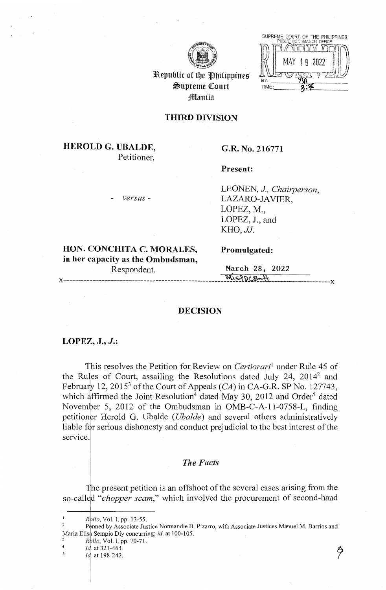



Republic of the Philippines  $\triangle$ upreme Court **Manila** 

# **THIRD DIVISION**

# **HEROLD G. UBALDE,**  Petitioner,

# **G.R. No. 216771**

**Present:** 

- *versus* -

LEONEN, *J, Chairperson,*  LAZARO-JAVIER, LOPEZ, M., LOPEZ, J., and *KHO,JJ.* 

**HON. CONCHITA C. MORALES, Promulgated: in her capacity as the Ombudsman,**  Respondent. March 28, 2022

 $MISPOCBa+1$ 

## **DECISION**

#### **LOPEZ, J., J.:**

This resolves the Petition for Review on *Certiorari*<sup>1</sup> under Rule 45 of the Rules of Court, assailing the Resolutions dated July 24, 20142 and February 12, 2015<sup>3</sup> of the Court of Appeals (CA) in CA-G.R. SP No. 127743, which affirmed the Joint Resolution<sup>4</sup> dated May 30, 2012 and Order<sup>5</sup> dated<br>November 5, 2012 of the Ombudsman in OMB-C-A-11-0758-L, finding November 5, 2012 of the Ombudsman in OMB-C-A-11-0758-L, finding petitioner Herold G. Ubalde *(Ubalde)* and several others administratively liable for serious dishonesty and conduct prejudicial to the best interest of the service.

# *The Facts*

he present petition is an offshoot of the several cases arising from the so-called "*chopper scam*," which involved the procurement of second-hand

- 
- 

Id. at 198-242.

*Rollo*, Vol. I, pp. 13-55.

<sup>&</sup>lt;sup>2</sup> Penned by Associate Justice Normandie B. Pizarro, with Associate Justices Manuel M. Barrios and Maria Elisa Sempio Diy concurring; *id.* at 100-105.<br><sup>3</sup> *Rollo*, Vol. I, pp. 70-71.<br><sup>4</sup> *Id.* at 321-464.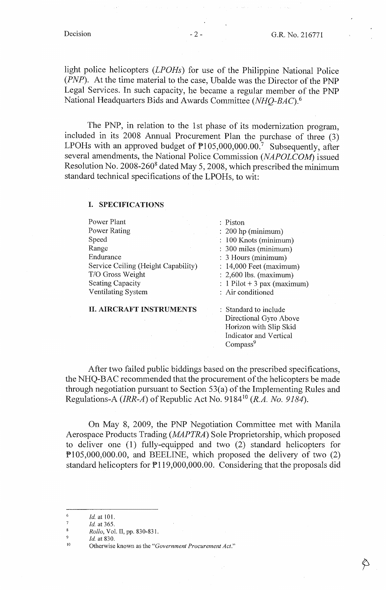light police helicopters *(LPOHs)* for use of the Philippine National Police *(PNP).* At the time material to the case, Ubalde was the Director of the PNP Legal Services. In such capacity, he became a regular member of the PNP National Headquarters Bids and Awards Committee *(NHQ-BAC).* <sup>6</sup>

The PNP, in relation to the 1st phase of its modernization program, included in its 2008 Annual Procurement Plan the purchase of three (3) LPOHs with an approved budget of  $P105,000,000.00$ . Subsequently, after several amendments, the National Police Commission *(NAPOLCOM)* issued Resolution No. 2008-2608 dated May 5, 2008, which prescribed the minimum standard technical specifications of the LPOHs, to wit:

#### I. **SPECIFICATIONS**

| Power Plant                         | : Piston                      |  |
|-------------------------------------|-------------------------------|--|
| Power Rating                        | $: 200$ hp (minimum)          |  |
| Speed                               | : 100 Knots (minimum)         |  |
| Range                               | : 300 miles (minimum)         |  |
| Endurance                           | : 3 Hours (minimum)           |  |
| Service Ceiling (Height Capability) | $: 14,000$ Feet (maximum)     |  |
| T/O Gross Weight                    | $: 2,600$ lbs. (maximum)      |  |
| <b>Seating Capacity</b>             | : $1$ Pilot + 3 pax (maximum) |  |
| Ventilating System                  | : Air conditioned             |  |
|                                     |                               |  |

II. **AIRCRAFT INSTRUMENTS** 

: Standard to include Directional Gyro Above Horizon with Slip Skid Indicator and Vertical Compass<sup>9</sup>

After two failed public biddings based on the prescribed specifications, the NHQ-BAC recommended that the procurement of the helicopters be made through negotiation pursuant to Section 53(a) of the Implementing Rules and Regulations-A *(IRR-A)* of Republic Act No. 9184<sup>10</sup>*(R.A. No. 9184).* 

On May 8, 2009, the PNP Negotiation Committee met with Manila Aerospace Products Trading *(MAPTRA)* Sole Proprietorship, which proposed to deliver one (1) fully-equipped and two (2) standard helicopters for Pl05,000,000.00, and BEELINE, which proposed the delivery of two (2) standard helicopters for  $\mathbb{P}119,000,000.00$ . Considering that the proposals did

 $\frac{6}{7}$  *Id.* at 101.

 $\frac{7}{8}$  *Id.* at 365.

*Rollo,* Vol. II, pp. 830-831.

<sup>&</sup>lt;sup>9</sup> *Id.* at 830. <sup>11</sup> Otherwise known as the "*Government Procurement Act.*"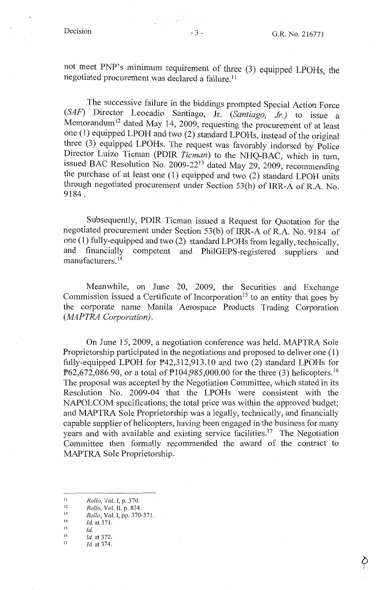not meet PNP's minimum requirement of three (3) equipped LPOHs, the negotiated procurement was declared a failure. 11

The successive failure in the biddings prompted Special Action Force *(SAF)* Director Leocadio Santiago, Jr. *(Santiago, Jr.)* to issue a Memorandum<sup>12</sup> dated May 14, 2009, requesting the procurement of at least one (1) equipped LPOH and two (2) standard LPOHs, instead of the original three (3) equipped LPOHs. The request was favorably indorsed by Police Director Luizo Tieman (PDIR *Tieman*) to the NHQ-BAC, which in turn, issued BAC Resolution No. 2009-22<sup>13</sup> dated May 29, 2009, recommending the purchase of at least one  $(1)$  equipped and two  $(2)$  standard LPOH units through negotiated procurement under Section 53(b) of IRR-A of R.A. No. 9184.

Subsequently, PDIR Tieman issued a Request for Quotation for the negotiated procurement under Section 53(b) of IRR-A of R.A. No. 9184 of one (1) fully-equipped and two (2) standard LPOHs from legally, technically, and financially competent and PhilGEPS-registered suppliers and manufacturers. 14

Meanwhile, on June 20, 2009, the Securities and Exchange Commission issued a Certificate of Incorporation<sup>15</sup> to an entity that goes by the corporate name Manila Aerospace Products Trading Corporation *(MAPTRA Corporation).* 

On June 15, 2009, a negotiation conference was held. MAPTRA Sole Proprietorship participated in the negotiations and proposed to deliver one (1) fully-equipped LPOH for P42,312,913.10 and two (2) standard LPOHs for P62,672,086.90, or a total of P104,985,000,00 for the three (3) helicopters.<sup>16</sup> The proposal was accepted by the Negotiation Committee, which stated in its Resolution No. 2009-04 that the LPOHs were consistent with the NAPOLCOM specifications; the total price was within the approved budget; and MAPTRA Sole Proprietorship was a legally, technically, and financially capable supplier of helicopters, having been engaged in the business for many years and with available and existing service facilities.<sup>17</sup> The Negotiation Committee then formally recommended the award of the contract to MAPTRA Sole Proprietorship.

- *Id.* at 371.
- 15 *Id.*
- 16 *Id.* at 372.
- 17 *Id.* at 374.

(19) 영화 (19).<br>기타

II *Rollo,* Vol. I, p. 370.

<sup>12</sup>  13 *Rollo,* Vol. II, p. 834.

<sup>14</sup>  *Rollo,* Vol. I, pp. 370-371.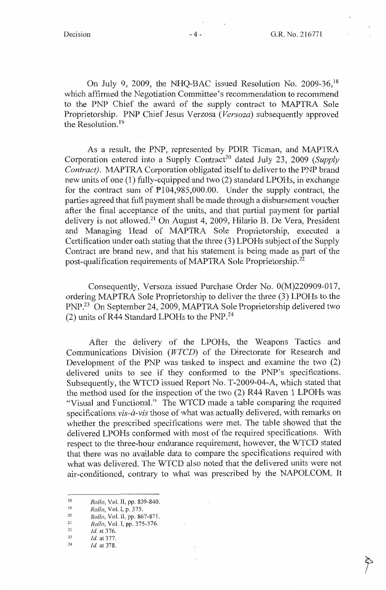On July 9, 2009, the NHQ-BAC issued Resolution No. 2009-36,<sup>18</sup> which affirmed the Negotiation Committee's recommendation to recommend to the PNP Chief the award of the supply contract to MAPTRA Sole Proprietorship. PNP Chief Jesus Verzosa *(Versoza)* subsequently approved the Resolution.<sup>19</sup>

As a result, the PNP, represented by PDIR Tieman, and MAPTRA Corporation entered into a Supply Contract<sup>20</sup> dated July 23, 2009 *(Supply Contract}.* MAPTRA Corporation obligated itself to deliver to the PNP brand new units of one ( 1) fully-equipped and two (2) standard LPOHs, in exchange for the contract sum of P104,985,000.00. Under the supply contract, the parties agreed that full payment shall be made through a disbursement voucher after the final acceptance of the units, and that partial payment for partial delivery is not allowed.<sup>21</sup> On August 4, 2009, Hilario B. De Vera, President and Managing Head of MAPTRA Sole Proprietorship, executed a Certification under oath stating that the three (3) LPOHs subject of the Supply Contract are brand new, and that his statement is being made as part of the post-qualification requirements of MAPTRA Sole Proprietorship.<sup>22</sup>

Consequently, Versoza issued Purchase Order No. 0(M)220909-0l 7, ordering MAPTRA Sole Proprietorship to deliver the three (3) LPOHs to the PNP.23 On September 24, 2009, MAPTRA Sole Proprietorship delivered two (2) units of R44 Standard LPOHs to the PNP.24

After the delivery of the LPOHs, the Weapons Tactics and Communications Division ( *WTCD)* of the Directorate for Research and Development of the PNP was tasked to inspect and examine the two (2) delivered units to see if they conformed to the PNP's specifications. Subsequently, the WTCD issued Report No. T-2009-04-A, which stated that the method used for the inspection of the two (2) R44 Raven 1 LPOHs was "Visual and Functional." The WTCD made a table comparing the required specifications *vis-a-vis* those of what was actually delivered, with remarks on whether the prescribed specifications were met. The table showed that the delivered LPOHs conformed with most of the required specifications. With respect to the three-hour endurance requirement, however, the WTCD stated that there was no available data to compare the specifications required with what was delivered. The WTCD also noted that the delivered units were not air-conditioned, contrary to what was prescribed by the NAPOLCOM. It

- 20 21 *Rollo,* Vol. II, pp. 867-871.
- 22 *Rollo,* Vol. I, pp. 375-376.
- 23 *Id.* at 376.
- 24 *Id.* at 377.
- *Id.* at 378.

<sup>18</sup>  *Rollo,* Vol. II, pp. 839-840.

<sup>19</sup>  *Rollo,* Vol. I, p. 375.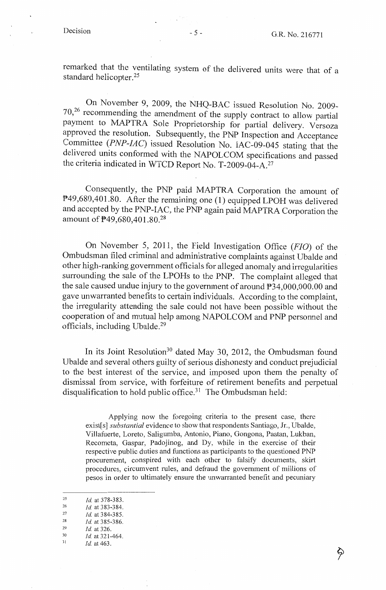remarked that the ventilating system of the delivered units were that of a standard helicopter.<sup>25</sup>

On November 9, 2009, the NHQ-BAC issued Resolution No. 2009- 70,26 recommending the amendment of the supply contract to allow partial payment to MAPTRA Sole Proprietorship for partial delivery. Versoza approved the resolution. Subsequently, the PNP Inspection and Acceptance Committee *(PNP-IAC)* issued Resolution No. IAC-09-045 stating that the delivered units conformed with the NAPOLCOM specifications and passed the criteria indicated in WTCD Report No. T-2009-04-A.<sup>27</sup>

Consequently, the PNP paid MAPTRA Corporation the amount of P49,680,401.80. After the remaining one (1) equipped LPOH was delivered and accepted by the PNP-IAC, the PNP again paid MAPTRA Corporation the amount of P49,680,401.80.28

On November 5, 2011, the Field Investigation Office (FJO) of the Ombudsman filed criminal and administrative complaints against Ubalde and other high-ranking government officials for alleged anomaly and irregularities surrounding the sale of the LPOHs to the PNP. The complaint alleged that the sale caused undue injury to the government of around P34,000,000.00 and gave unwarranted benefits to certain individuals. According to the complaint, the irregularity attending the sale could not have been possible without the cooperation of and mutual help among NAPOLCOM and PNP personnel and officials, including Ubalde.29

In its Joint Resolution<sup>30</sup> dated May 30, 2012, the Ombudsman found Ubalde and several others guilty of serious dishonesty and conduct prejudicial to the best interest of the service, and imposed upon them the penalty of dismissal from service, with forfeiture of retirement benefits and perpetual disqualification to hold public office.<sup>31</sup> The Ombudsman held:

Applying now the foregoing criteria to the present case, there exist[s] *substantial* evidence to show that respondents Santiago, Jr., Ubalde, Villafuerte, Loreto, Saligumba, Antonio, Piano, Gongona, Paatan, Lukban, Recometa, Gaspar, Padojinog, and Dy, while in the exercise of their respective public duties and functions as participants to the questioned PNP procurement, conspired with each other to falsify documents, skirt procedures, circumvent rules, and defraud the government of millions of pesos in order to ultimately ensure the unwarranted benefit and pecuniary

<sup>25</sup>  *Id* at 378-383.

<sup>26</sup>  27 *Id.* at 383-384.

<sup>28</sup>  *Id.* at 384-385.

<sup>29</sup>  *Id.* at 385-386.

<sup>30</sup>  *Id.* at 326. *Id* at 321-464.

<sup>31</sup> 

*Id.* at 463.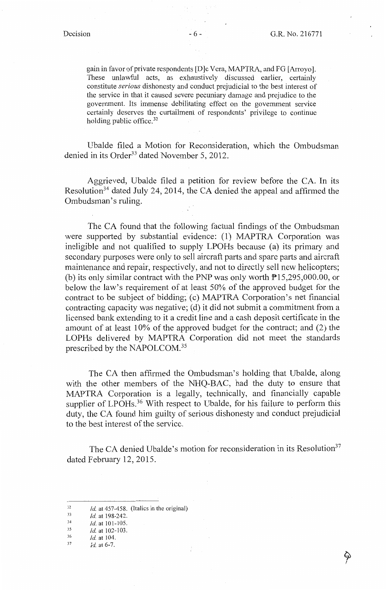♦

gain in favor of private respondents [D]e Vera, MAPTRA, and FG [Arroyo]. These unlawful acts, as exhaustively discussed earlier, certainly constitute *serious* dishonesty and conduct prejudicial to the best interest of the service in that it caused severe pecuniary damage and prejudice to the government. Its immense debilitating effect on the government service certainly deserves the curtailment of respondents' privilege to continue holding public office.<sup>32</sup>

Ubalde filed a Motion for Reconsideration, which the Ombudsman denied in its Order<sup>33</sup> dated November 5, 2012.

Aggrieved, Ubalde filed a petition for review before the CA. In its Resolution<sup>34</sup> dated July 24, 2014, the CA denied the appeal and affirmed the Ombudsman's ruling.

The CA found that the following factual findings of the Ombudsman were supported by substantial evidence: (1) MAPTRA Corporation was ineligible and not qualified to supply LPOHs because (a) its primary and secondary purposes were only to sell aircraft parts and spare parts and aircraft maintenance and repair, respectively, and not to directly sell new helicopters; (b) its only similar contract with the PNP was only worth Pl5,295,000.00, or below the law's requirement of at least 50% of the approved budget for the contract to be subject of bidding; (c) MAPTRA Corporation's net financial contracting capacity was negative; (d) it did not submit a commitment from a licensed bank extending to it a credit line and a cash deposit certificate in the amount of at least 10% of the approved budget for the contract; and (2) the LOPHs delivered by MAPTRA Corporation did not meet the standards prescribed by the NAPOLCOM. <sup>35</sup>

The CA then affirmed the Ombudsman's holding that Ubalde, along with the other members of the NHQ-BAC, had the duty to ensure that MAPTRA Corporation is a legally, technically, and financially capable supplier of LPOHs.<sup>36</sup> With respect to Ubalde, for his failure to perform this duty, the CA found him guilty of serious dishonesty and conduct prejudicial to the best interest of the service.

The CA denied Ubalde's motion for reconsideration in its Resolution<sup>37</sup> dated February 12, 2015.

- 35 *id.* at 102-103.
- 36 *Id.* at 104.

<sup>32</sup>  *Id.* at 457-458. (Italics in the original)

<sup>33</sup>  *Id.* at 198-242.

<sup>34</sup>  *Id.* at 101-105.

<sup>37</sup>  *Id.* at 6-7.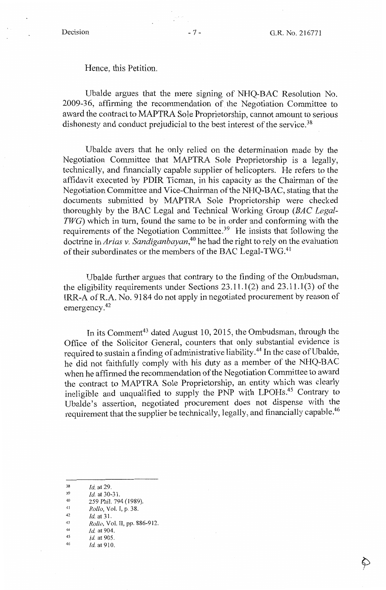# Hence, this Petition.

Ubalde argues that the mere signing of NHQ-BAC Resolution No. 2009-36, affirming the recommendation of the Negotiation Committee to award the contract to MAPTRA Sole Proprietorship, cannot amount to serious dishonesty and conduct prejudicial to the best interest of the service.<sup>38</sup>

Ubalde avers that he only relied on the determination made by the Negotiation Committee that MAPTRA Sole Proprietorship is a legally, technically, and financially capable supplier of helicopters. He refers to the affidavit executed by PDIR Tieman, in his capacity as the Chairman of the Negotiation Committee and Vice-Chairman of the NHQ-BAC, stating that the documents submitted by MAPTRA Sole Proprietorship were checked thoroughly by the BAC Legal and Technical Working Group *(BAC Legal-TWG)* which in tum, found the same to be in order and conforming with the requirements of the Negotiation Committee.<sup>39</sup> He insists that following the doctrine in *Arias v. Sandiganbayan,40* he had the right to rely on the evaluation of their subordinates or the members of the BAC Legal-TWG.<sup>41</sup>

Ubalde further argues that contrary to the finding of the Ombudsman, the eligibility requirements under Sections  $23.11.1(2)$  and  $23.11.1(3)$  of the IRR-A ofR.A. No. 9184 do not apply in negotiated procurement by reason of emergency. 42

In its Comment<sup>43</sup> dated August 10, 2015, the Ombudsman, through the Office of the Solicitor General, counters that only substantial evidence is required to sustain a finding of administrative liability.<sup>44</sup> In the case of Ubalde, he did not faithfully comply with his duty as a member of the NHQ-BAC when he affirmed the recommendation of the Negotiation Committee to award the contract to MAPTRA Sole Proprietorship, an entity which was clearly ineligible and unqualified to supply the PNP with LPOHs.45 Contrary to Ubalde's assertion, negotiated procurement does not dispense with the requirement that the supplier be technically, legally, and financially capable.<sup>46</sup>

<sup>38</sup> Id. at 29.<br>
259 Phil. 794 (1989).<br>
40 259 Phil. 794 (1989).<br>
41 Rollo, Vol. I, p. 38.<br>
42 Id. at 31.<br>
43 Rollo, Vol. II, pp. 886-912.<br>
44 Id. at 904.<br>
Id. at 905.<br>
14 Id. at 905.<br>
14 Id. at 910.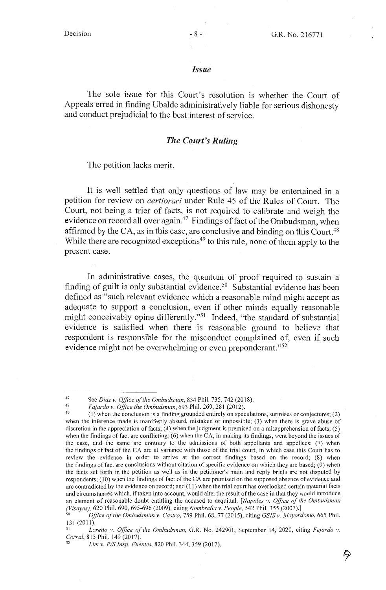### *Issue*

The sole issue for this Court's resolution is whether the Court of Appeals erred in finding Ubalde administratively liable for serious dishonesty and conduct prejudicial to the best interest of service.

#### *The Court's Ruling*

The petition lacks merit.

It is well settled that only questions of law may be entertained in a petition for review on *certiorari* under Rule 45 of the Rules of Court. The Court, not being a trier of facts, is not required to calibrate and weigh the evidence on record all over again.<sup>47</sup> Findings of fact of the Ombudsman, when affirmed by the CA, as in this case, are conclusive and binding on this Court.<sup>48</sup> While there are recognized exceptions<sup>49</sup> to this rule, none of them apply to the present case.

In administrative cases, the quantum of proof required to sustain a finding of guilt is only substantial evidence. 50 Substantial evidence has been defined as "such relevant evidence which a reasonable mind might accept as adequate to support a conclusion, even if other minds equally reasonable might conceivably opine differently."<sup>51</sup> Indeed, "the standard of substantial evidence is satisfied when there is reasonable ground to believe that respondent is responsible for the misconduct complained of, even if such evidence might not be overwhelming or even preponderant."<sup>52</sup>

<sup>&</sup>lt;sup>47</sup> See *Diaz v. Office of the Ombudsman*, 834 Phil. 735, 742 (2018).<br><sup>48</sup> *Fajardo v. Office the Ombudsman*, 693 Phil. 269, 281 (2012).<br><sup>49</sup> (1) when the conclusion is a finding grounded entirely on speculations. surmis when the inference made is manifestly absurd, mistaken or impossible; (3) when there is grave abuse of discretion in the appreciation of facts; {4) when the judgment is premised on a misapprehension of facts; (5) when the findings of fact are conflicting; (6) when the CA, in making its findings, went beyond the issues of the case, and the same are contrary to the admissions of both appellants and appellees;  $(7)$  when the findings of fact of the CA are at variance with those of the trial court, in which case this Court has to review the evidence in order to arrive at the correct findings based on the record;  $(8)$  when the findings of fact are conclusions without citation of specific evidence on which they are based; (9) when the facts set forth in the petition as well as in the petitioner's main and reply briefs are not disputed by respondents; (10) when the findings of fact of the CA are premised on the supposed absence of evidence and are contradicted by the evidence on record; and (11) when the trial court has overlooked certain material facts and circumstances which, if taken into account, would alter the result of the case in that they would introduce an element of reasonable doubt entitling the accused to acquittal. *[Napoles v. Office of the Ombudsman (Visayas)*, 620 Phil. 690, 695-696 (2009), citing *Nombrefia v. People*, 542 Phil. 355 (2007).

*<sup>(</sup>Visayas),* 620 Phil. 690, 695-696 (2009), citing *Nombrefia v. People,* 542 Phil. 355 (2007).] 50 *Office of the Ombudsman v. Castro,* 7 59 Phil. 68, 77 (2015), citing *GS/S v. Mayordomo,* 665 Phil.

<sup>131 (2011).&</sup>lt;br><sup>51</sup> *Loreño v. Office of the Ombudsman*, G.R. No. 242901, September 14, 2020, citing *Fajardo v.*<br>*Corral*, 813 Phil. 149 (2017).

*Lim v. P/S Insp. Fuentes, 820 Phil. 344, 359 (2017).*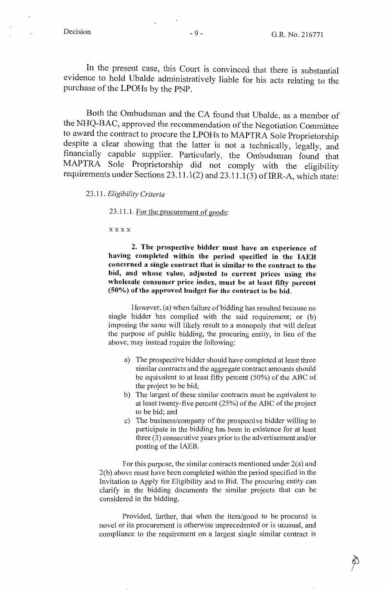In the present case, this Court is convinced that there is substantial evidence to hold Ubalde administratively liable for his acts relating to the purchase of the LPOHs by the PNP.

Both the Ombudsman and the CA found that Ubalde, as a member of the NHQ-BAC, approved the recommendation of the Negotiation Committee to award the contract to procure the LPOHs to MAPTRA Sole Proprietorship despite a clear showing that the latter is not a technically, legally, and financially capable supplier. Particularly, the Ombudsman found that MAPTRA Sole Proprietorship did not comply with the eligibility requirements under Sections  $23.11.1(2)$  and  $23.11.1(3)$  of IRR-A, which state:

23 .11. *Eligibility Criteria* 

23 .11.1. For the procurement of goods:

**xxxx** 

**2. The prospective bidder must have an experience of having completed within the period specified in the IAEB concerned a single contract that is similar to the contract to the bid, and whose value, adjusted to current prices using the wholesale consumer price index, must be at least fifty percent (50%) of the approved budget for the contract to be bid.** 

However, (a) when failure of bidding has resulted because no single bidder has complied with the said requirement; or (b) imposing the same will likely result to a monopoly that will defeat the purpose of public bidding, the procuring entity, in lieu of the above, may instead require the following:

- a) The prospective bidder should have completed at least three similar contracts and the aggregate contract amounts should be equivalent to at least fifty percent (50%) of the ABC of the project to be bid;
- b) The largest of these similar contracts must be equivalent to at least twenty-five percent (25%) of the ABC of the project to be bid; and
- c) The business/company of the prospective bidder willing to participate in the bidding has been in existence for at least three (3) consecutive years prior to the advertisement and/or posting of the IAEB.

For this purpose, the similar contracts mentioned under  $2(a)$  and 2(b) above must have been completed within the period specified in the Invitation to Apply for Eligibility and to Bid. The procuring entity can clarify in the bidding documents the similar projects that can be considered in the bidding.

Provided, further, that when the item/good to be procured is novel or its procurement is otherwise unprecedented or is unusual, and compliance to the requirement on a largest single similar contract is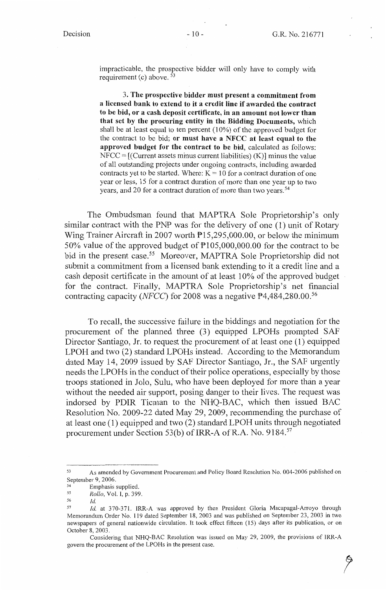impracticable, the prospective bidder will only have to comply with requirement (c) above.  $53$ 

3. **The prospective bidder must present a commitment from a licensed bank to extend to it a credit line** if **awarded the contract to be bid, or a cash deposit certificate, in an amount not lower than that set by the procuring entity in the Bidding Documents,** which shall be at least equal to ten percent (10%) of the approved budget for the contract to be bid; **or must have a NFCC at least equal to the approved budget for the contract to be bid,** calculated as follows:  $NFCC = [(Current assets minus current liabilities) (K)] minus the value$ of all outstanding projects under ongoing contracts, including awarded contracts yet to be started. Where:  $K = 10$  for a contract duration of one year or less, 15 for a contract duration of more than one year up to two years, and 20 for a contract duration of more than two years. 54

The Ombudsman found that MAPTRA Sole Proprietorship's only similar contract with the PNP was for the delivery of one (1) unit of Rotary Wing Trainer Aircraft in 2007 worth Pl5,295,000.00, or below the minimum 50% value of the approved budget of Pl 05,000,000.00 for the contract to be bid in the present case.<sup>55</sup> Moreover, MAPTRA Sole Proprietorship did not submit a commitment from a licensed bank extending to it a credit line and a cash deposit certificate in the amount of at least 10% of the approved budget for the contract. Finally, MAPTRA Sole Proprietorship's net financial contracting capacity *(NFCC)* for 2008 was a negative P4,484,280.00. <sup>56</sup>

To recall, the successive failure in the biddings and negotiation for the procurement of the planned three (3) equipped LPOHs prompted SAF Director Santiago, Jr. to request the procurement of at least one ( 1) equipped LPOH and two (2) standard LPOHs instead. According to the Memorandum dated May 14, 2009 issued by SAF Director Santiago, Jr., the SAF urgently needs the LPOHs in the conduct of their police operations, especially by those troops stationed in Jolo, Sulu, who have been deployed for more than a year without the needed air support, posing danger to their lives. The request was indorsed by PDIR Tieman to the NHQ-BAC, which then issued BAC Resolution No. 2009-22 dated May 29, 2009, recommending the purchase of at least one (1) equipped and two (2) standard LPOH units through negotiated procurement under Section 53(b) of IRR-A of R.A. No. 9184.<sup>57</sup>

<sup>53</sup> As amended by Government Procurement and Policy Board Resolution No. 004-2006 published on September 9, 2006.<br><sup>54</sup> Emphasis supplied.<br><sup>55</sup> *Rollo*, Vol. I, p. 399.<br><sup>56</sup>

<sup>56</sup>*Id.* 

<sup>57</sup>*Id.* at 370-371. IRR-A was approved by then President Gloria Macapagal-Arroyo through Memorandum Order No. 119 dated September 18, 2003 and was published on September 23, 2003 in two newspapers of general nationwide circulation. It took effect fifteen (15) days after its publication, or on October 8, 2003.

Considering that NHQ-BAC Resolution was issued on May 29, 2009, the provisions of IRR-A govern the procurement of the LPOHs in the present case.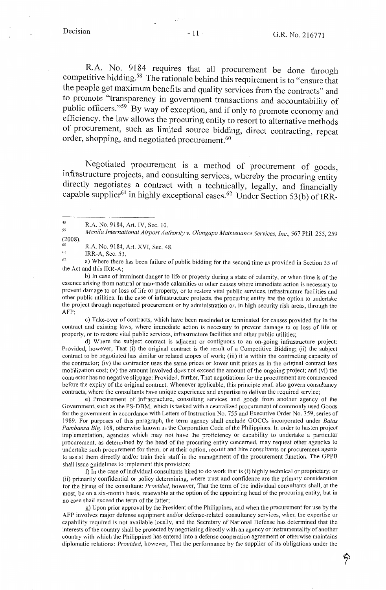$R.A.$  No. 9184 requires that all procurement be done through competitive bidding.<sup>58</sup> The rationale behind this requirement is to "ensure that" the people get maximum benefits and quality services from the contracts" and to promote "transparency in government transactions and accountability of public officers."<sup>59</sup> By way of exception, and if only to promote economy and efficiency, the law allows the procuring entity to resort to alternative methods of procurement, such as limited source bidding, direct contracting, repeat order, shopping, and negotiated procurement.<sup>60</sup>

. Negotiated procurement is a method of procurement of goods, mfrastructure projects, and consulting services, whereby the procuring entity directly negotiates a contract with a technically, legally, and financially capable supplier<sup>61</sup> in highly exceptional cases.<sup>62</sup> Under Section 53(b) of IRR-

59 (2008). *Manila International Airport Authority v. Olongapo Maintenance Services, Inc.,* 567 Phil. 255,259

60 R.A. No. 9184, Art. XVI, Sec. 48.

61

<sup>61</sup> IRR-A, Sec. 53.<br><sup>62</sup> a) Where there has been failure of public bidding for the second time as provided in Section 35 of the Act and this IRR-A;

b) In case of imminent danger to life or property during a state of calamity, or when time is of the essence arising from natural or man-made calamities or other causes where immediate action is necessary to prevent damage to or loss of life or property, or to restore vital public services, infrastructure facilities and other public utilities. In the case of infrastructure projects, the procuring entity has the option to undertake the project through negotiated procurement or by administration or, in high security risk areas, through the AFP;

c) Take-over of contracts, which have been rescinded or terminated for causes provided for in the contract and existing laws, where immediate action is necessary to prevent damage to or loss of life or property, or to restore vital public services, infrastructure facilities and other public utilities;

d) Where the subject contract is adjacent or contiguous to an on-going infrastructure project: Provided, however, That (i) the original contract is the result of a Competitive Bidding; (ii) the subject contract to be negotiated has similar or related scopes of work; (iii) it is within the contracting capacity of the contractor; (iv) the contractor uses the same prices or lower unit prices as in the original contract less mobilization cost; (v) the amount involved does not exceed the amount of the ongoing project; and (vi) the contractor has no negative slippage: Provided, further, That negotiations for the procurement are commenced before the expiry of the original contract. Whenever applicable, this principle shall also govern consultancy contracts, where the consultants have unique experience and expertise to deliver the required service;

e) Procurement of infrastructure, consulting services and goods from another agency of the Government, such as the PS-DBM, which is tasked with a centralized procurement of commonly used Goods for the government in accordance with Letters of Instruction No. 755 and Executive Order No. 359, series of 1989. For purposes of this paragraph, the term agency shall exclude GOCCs incorporated under *Batas Pambansa Big.* 168, otherwise known as the Corporation Code of the Philippines. In order to hasten project implementation, agencies which may not have the proficiency or capability to undertake a particular procurement, as determined by the head of the procuring entity concerned, may request other agencies to undertake such procurement for them, or at their option, recruit and hire consultants or procurement agents to assist them directly and/or train their staff in the management of the procurement function. The GPPB shall issue guidelines to implement this provision;

f) In the case of individual consultants hired to do work that is (i) highly technical or proprietary; or (ii) primarily confidential or policy determining, where trust and confidence are the primary consideration for the hiring of the consultant: *Provided,* however, That the term of the individual consultants shall, at the most, be on a six-month basis, renewable at the option of the appointing head of the procuring entity, but in no case shall exceed the term of the latter;

g) Upon prior approval by the President of the Philippines, and when the procurement for use by the AFP involves major defense equipment and/or defense-related consultancy services, when the expertise or capability required is not available locally, and the Secretary of National Defense has determined that the interests of the country shall be protected by negotiating directly with an agency or instrumentality of another country with which the Philippines has entered into a defense cooperation agreement or otherwise maintains diplomatic relations: *Provided,* however, That the performance by the supplier of its obligations under the

<sup>58</sup>  R.A. No. 9184, Art. IV, Sec. 10.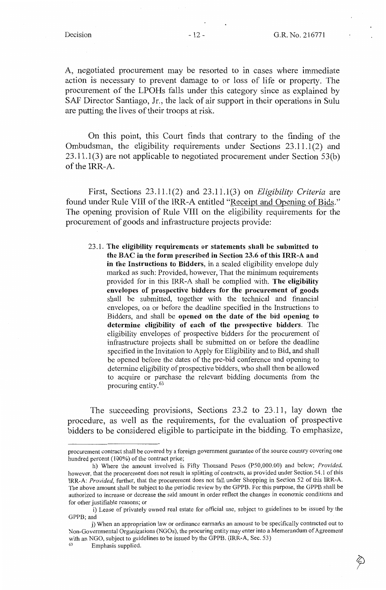A, negotiated procurement may be resorted to in cases where immediate action is necessary to prevent damage to or loss of life or property. The procurement of the LPOHs falls under this category since as explained by SAF Director Santiago, Jr., the lack of air support in their operations in Sulu are putting the lives of their troops at risk.

On this point, this Court finds that contrary to the finding of the Ombudsman, the eligibility requirements under Sections 23.11.1(2) and 23.11.1(3) are not applicable to negotiated procurement under Section 53(b) of the IRR-A.

First, Sections 23.11.1(2) and 23.11.1(3) on *Eligibility Criteria* are found under Rule VIII of the IRR-A entitled "Receipt and Opening of Bids." The opening provision of Rule VIII on the eligibility requirements for the procurement of goods and infrastructure projects provide:

23.1. **The eligibility requirements or statements shall be submitted to the BAC in the form prescribed in Section 23.6 of this IRR-A and in the Instructions to Bidders,** in a sealed eligibility envelope duly marked as such: Provided, however, That the minimum requirements provided for in this IRR-A shall be complied with. **The eligibility envelopes of prospective bidders for the procurement of goods**  shall be submitted, together with the technical and financial envelopes, on or before the deadline specified in the Instructions to Bidders, and shall be **opened on the date of the bid opening to determine eligibility of each of the prospective bidders.** The eligibility envelopes of prospective bidders for the procurement of infrastructure projects shall be submitted on or before the deadline specified in the Invitation to Apply for Eligibility and to Bid, and shall be opened before the dates of the pre-bid conference and opening to determine eligibility of prospective bidders, who shall then be allowed to acquire or purchase the relevant bidding documents from the procuring entity.<sup>63</sup>

The succeeding provisions, Sections 23.2 to 23.11, lay down the procedure, as well as the requirements, for the evaluation of prospective bidders to be considered eligible to participate in the bidding. To emphasize,

procurement contract shall be covered by a foreign government guarantee of the source country covering one hundred percent (100%) of the contract price;

h) Where the amount involved is Fifty Thousand Pesos (P50,000.00) and below; *Provided,*  however, that the procurement does not result in splitting of contracts, as provided under Section 54.1 of this IRR-A: *Provided,* further, that the procurement does not fall under Shopping in Section 52 of this IRR-A. The above amount shall be subject to the periodic review by the GPPB. For this purpose, the GPPB shall be authorized to increase or decrease the said amount in order reflect the changes in economic conditions and for other justifiable reasons; or

i) Lease of privately owned real estate for official use, subject to guidelines to be issued by the GPPB; and

j) When an appropriation law or ordinance earmarks an amount to be specifically contracted out to Non-Governmental Organizations (NGOs), the procuring entity may enter into a Memorandum of Agreement with an NGO, subject to guidelines to be issued by the GPPB. (IRR-A, Sec. 53) Emphasis supplied.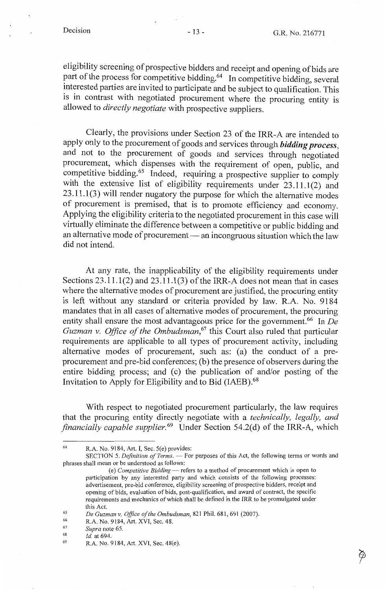eligibility screening of prospective bidders and receipt and opening of bids are part of the process for competitive bidding.64 In competitive bidding, several interested parties are invited to participate and be subject to qualification. This is in contrast with negotiated procurement where the procuring entity is allowed to *directly negotiate* with prospective suppliers.

Clearly, the provisions under Section 23 of the IRR-A are intended to apply only to the procurement of goods and services through *bidding process,*  and not to the procurement of goods and services through negotiated procurement, which dispenses with the requirement of open, public, and competitive bidding.<sup>65</sup> Indeed, requiring a prospective supplier to comply with the extensive list of eligibility requirements under  $23.11.1(2)$  and  $23.11.1(3)$  will render nugatory the purpose for which the alternative modes of procurement is premised, that is to promote efficiency and economy. Applying the eligibility criteria to the negotiated procurement in this case will virtually eliminate the difference between a competitive or public bidding and an alternative mode of procurement  $-$  an incongruous situation which the law did not intend.

At any rate, the inapplicability of the eligibility requirements under Sections 23.11.1(2) and 23.11.1(3) of the IRR-A does not mean that in cases where the alternative modes of procurement are justified, the procuring entity is left without any standard or criteria provided by law. R.A. No. 9184 mandates that in all cases of alternative modes of procurement, the procuring entity shall ensure the most advantageous price for the government.<sup>66</sup> In *De Guzman v. Office of the Ombudsman,* 67 this Court also ruled that particular requirements are applicable to all types of procurement activity, including alternative modes of procurement, such as: (a) the conduct of a preprocurement and pre-bid conferences; (b) the presence of observers during the entire bidding process; and  $(c)$  the publication of and/or posting of the Invitation to Apply for Eligibility and to Bid (IAEB).<sup>68</sup>

With respect to negotiated procurement particularly, the law requires that the procuring entity directly negotiate with a *technically, legally, and financially capable supplier.*<sup>69</sup> Under Section 54.2(d) of the IRR-A, which

68 *Id.* at 694.

<sup>64</sup> R.A. No. 9184, Art. I, Sec. 5(e) provides:

SECTION 5. *Definition of Terms.* — For purposes of this Act, the following terms or words and phrases shall mean or be understood as follows:

<sup>(</sup>e) *Competitive Bidding* — refers to a method of procurement which is open to participation by any interested party and which consists of the following processes: advertisement, pre-bid conference, eligibility screening of prospective bidders, receipt and opening of bids, evaluation of bids, post-qualification, and award of contract, the specific requirements and mechanics of which shall be defined in the IRR to be promulgated under this Act.<br> *De Guzman v. Office of the Ombudsman*, 821 Phil. 681, 691 (2007).<br>
<sup>66</sup> R.A. No. 9184, Art. XVI, Sec. 48.<br>
<sup>67</sup> Sunta pote 65

*Supra* note 65.

<sup>69</sup>  R.A. No. 9184, Art. XVI, Sec. 48(e).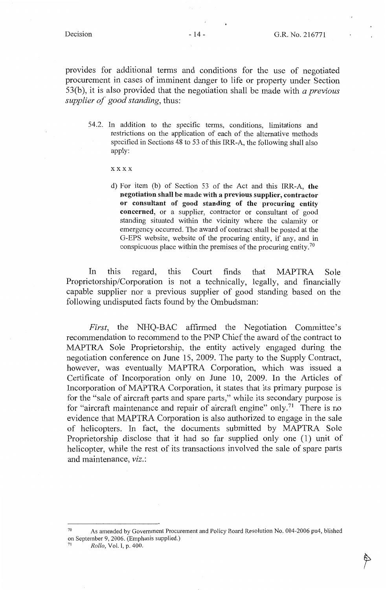provides for additional terms and conditions for the use of negotiated procurement in cases of imminent danger to life or property under Section 53(b ), it is also provided that the negotiation shall be made with *a previous supplier of good standing,* thus:

54.2. In addition to the specific terms, conditions, limitations and restrictions on the application of each of the alternative methods specified in Sections 48 to 53 of this IRR-A, the following shall also apply:

xxxx

d) For item (b) of Section 53 of the Act and this IRR-A, **the negotiation shall be made with a previous supplier, contractor or consultant of good standing of the procuring entity concerned,** or a supplier, contractor or consultant of good standing situated within the vicinity where the calamity or emergency occurred. The award of contract shall be posted at the G-EPS website, website of the procuring entity, if any, and in conspicuous place within the premises of the procuring entity. <sup>70</sup>

In this regard, this Court finds that MAPTRA Sole Proprietorship/Corporation is not a technically, legally, and financially capable supplier nor a previous supplier of good standing based on the following undisputed facts found by the Ombudsman:

*First,* the NHQ-BAC affirmed the Negotiation Committee's recommendation to recommend to the PNP Chief the award of the contract to MAPTRA Sole Proprietorship, the entity actively engaged during the negotiation conference on June 15, 2009. The party to the Supply Contract, however, was eventually MAPTRA Corporation, which was issued a Certificate of Incorporation only on June 10, 2009. In the Articles of Incorporation of MAPTRA Corporation, it states that its primary purpose is for the "sale of aircraft parts and spare parts," while its secondary purpose is for "aircraft maintenance and repair of aircraft engine" only.<sup>71</sup> There is no evidence that MAPTRA Corporation is also authorized to engage in the sale of helicopters. In fact, the documents submitted by MAPTRA Sole Proprietorship disclose that it had so far supplied only one (1) unit of helicopter, while the rest of its transactions involved the sale of spare parts and maintenance, *viz.:* 

<sup>70</sup> As amended by Government Procurement and Policy Board Resolution No. 004-2006 pu4, blished on September 9, 2006. (Emphasis supplied.) 71 *Rollo,* Vol. I, p. 400.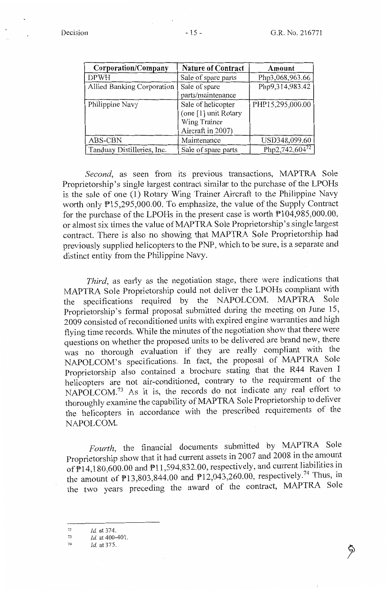| Corporation/Company        | <b>Nature of Contract</b> | Amount           |
|----------------------------|---------------------------|------------------|
| <b>DPWH</b>                | Sale of spare parts       | Php3,068,963.66  |
| Allied Banking Corporation | Sale of spare             | Php9,314,983.42  |
|                            | parts/maintenance         |                  |
| Philippine Navy            | Sale of helicopter        | PHP15,295,000.00 |
|                            | (one [1] unit Rotary      |                  |
|                            | Wing Trainer              |                  |
|                            | Aircraft in 2007)         |                  |
| ABS-CBN                    | Maintenance               | USD348,099.60    |
| Tanduay Distilleries, Inc. | Sale of spare parts       | Php2,742,60472   |

*Second,* as seen from its previous transactions, MAPTRA Sole Proprietorship's single largest contract similar to the purchase of the LPOHs is the sale of one (1) Rotary Wing Trainer Aircraft to the Philippine Navy worth only  $P15,295,000.00$ . To emphasize, the value of the Supply Contract for the purchase of the LPOHs in the present case is worth Pl04,985,000.00, or almost six times the value ofMAPTRA Sole Proprietorship's single largest contract. There is also no showing that MAPTRA Sole Proprietorship had previously supplied helicopters to the PNP, which to be sure, is a separate and distinct entity from the Philippine Navy.

*Third,* as early as the negotiation stage, there were indications that MAPTRA Sole Proprietorship could not deliver the LPOHs compliant with the specifications required by the NAPOLCOM. MAPTRA Sole Proprietorship's formal proposal submitted during the meeting on June 15, 2009 consisted of reconditioned units with expired engine warranties and high flying time records. While the minutes of the negotiation show that there were questions on whether the proposed units to be delivered are brand new, there was no thorough evaluation if they are really compliant with the NAPOLCOM's specifications. In fact, the proposal of MAPTRA Sole Proprietorship also contained a brochure stating that the R44 Raven I helicopters are not air-conditioned, contrary to the requirement of the NAPOLCOM.<sup>73</sup> As it is, the records do not indicate any real effort to thoroughly examine the capability of MAPTRA Sole Proprietorship to deliver the helicopters in accordance with the prescribed requirements of the NAPOLCOM.

*Fourth,* the financial documents submitted by MAPTRA Sole Proprietorship show that it had current assets in 2007 and 2008 in the amount of  $\overline{P}14,180,600.00$  and  $\overline{P}11,594,832.00$ , respectively, and current liabilities in the amount of  $P13,803,844.00$  and  $P12,043,260.00$ , respectively.<sup>74</sup> Thus, in the two years preceding the award of the contract, MAPTRA Sole

74 *Id.* at 375.

<sup>72</sup>  *Id* at 374.

<sup>73</sup>  *Id.* at 400-401.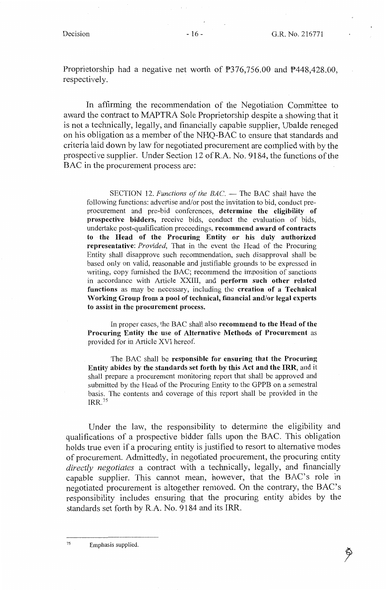Proprietorship had a negative net worth of  $\overline{P}376,756.00$  and  $\overline{P}448,428.00$ . respectively.

In affirming the recommendation of the Negotiation Committee to award the contract to MAPTRA Sole Proprietorship despite a showing that it is not a technically, legally, and financially capable supplier, Ubalde reneged on his obligation as a member of the NHQ-BAC to ensure that standards and criteria laid down by law for negotiated procurement are complied with by the prospective supplier. Under Section 12 ofR.A. No. 9184, the functions of the BAC in the procurement process are:

SECTION 12. *Functions of the BAC*. - The BAC shall have the following functions: advertise and/or post the invitation to bid, conduct preprocurement and pre-bid conferences, **determine the eligibility of prospective bidders,** receive bids, conduct the evaluation of bids, undertake post-qualification proceedings, **recommend award of contracts to the Head of the Procuring Entity or his duly authorized representative:** *Provided,* That in the event the Head of the Procuring Entity shall disapprove such recommendation, such disapproval shall be based only on valid, reasonable and justifiable grounds to be expressed in writing, copy furnished the BAC; recommend the imposition of sanctions in accordance with Article XXIII, and **perform such other related functions** as may be necessary, including the **creation of a Technical Working Group from a pool of technical, financial and/or legal experts to assist in the procurement process.** 

In proper cases, the BAC shall also **recommend to the Head of the Procuring Entity the use of Alternative Methods of Procurement** as provided for in Article XVI hereof.

The BAC shall be **responsible for ensuring that the Procuring Entity abides by the standards set forth by this Act and the IRR,** and it shall prepare a procurement monitoring report that shall be approved and submitted by the Head of the Procuring Entity to the GPPB on a semestral basis. The contents and coverage of this report shall be provided in the IRR.1s

Under the law, the responsibility to determine the eligibility and qualifications of a prospective bidder falls upon the BAC. This obligation holds true even if a procuring entity is justified to resort to alternative modes of procurement. Admittedly, in negotiated procurement, the procuring entity *directly negotiates* a contract with a technically, legally, and financially capable supplier. This cannot mean, however, that the BAC's role in negotiated procurement is altogether removed. On the contrary, the BAC's responsibility includes ensuring that the procuring entity abides by the standards set forth by R.A. No. 9184 and its IRR.

75 Emphasis supplied.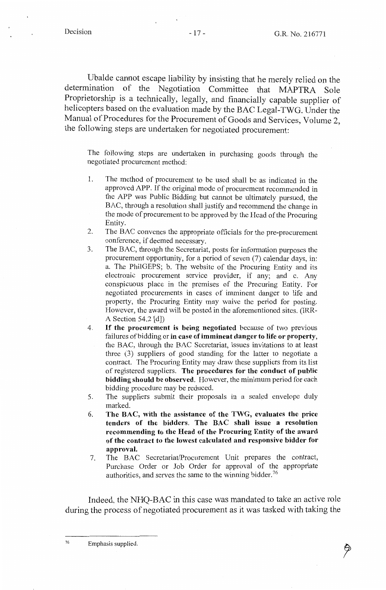Ubalde cannot escape liability by insisting that he merely relied on the determination of the Negotiation Committee that MAPTRA Sole Proprietorship is a technically, legally, and financially capable supplier of helicopters based on the evaluation made by the BAC Legal-TWG. Under the Manual of Procedures for the Procurement of Goods and Services, Volume 2, the following steps are undertaken for negotiated procurement:

The following steps are undertaken in purchasing goods through the negotiated procurement method:

- 1. The method of procurement to be used shall be as indicated in the approved APP. If the original mode of procurement recommended in the APP was Public Bidding but cannot be ultimately pursued, the BAC, through a resolution shall justify and recommend the change in the mode of procurement to be approved by the Head of the Procuring Entity.
- 2. The BAC convenes the appropriate officials for the pre-procurement conference, if deemed necessary.
- 3. The BAC, through the Secretariat, posts for information purposes the procurement opportunity, for a period of seven (7) calendar days, in: a. The PhilGEPS; b. The website of the Procuring Entity and its electronic procurement service provider, if any; and c. Any conspicuous place in the premises of the Procuring Entity. For negotiated procurements in cases of imminent danger to life and property, the Procuring Entity may waive the period for posting. However, the award will be posted in the aforementioned sites. (IRR-A Section 54.2 [d])
- 4. If **the procurement is being negotiated** because of two previous failures of bidding or **in case of imminent danger to life or property,**  the BAC, through the BAC Secretariat, issues invitations to at least three (3) suppliers of good standing for the latter to negotiate a contract. The Procuring Entity may draw these suppliers from its list of registered suppliers. **The procedures for the conduct of public bidding should be observed.** However, the minimum period for each bidding procedure may be reduced.
- 5. The suppliers submit their proposals in a sealed envelope duly marked.
- 6. **The BAC, with the assistance of the TWG, evaluates the price tenders of the bidders. The BAC shall issue a resolution recommending to the Head of the Procuring Entity of the award of the contract to the lowest calculated and responsive bidder for approval.**
- 7. The BAC Secretariat/Procurement Unit prepares the contract, Purchase Order or Job Order for approval of the appropriate authorities, and serves the same to the winning bidder. <sup>76</sup>

Indeed, the NHQ-BAC in this case was mandated to take an active role during the process of negotiated procurement as it was tasked with taking the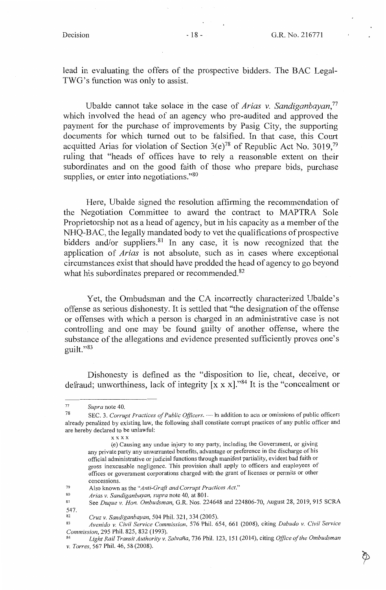lead in evaluating the offers of the prospective bidders. The BAC Legal-TWG's function was only to assist.

Ubalde cannot take solace in the case of *Arias v. Sandiganbayan,77*  which involved the head of an agency who pre-audited and approved the payment for the purchase of improvements by Pasig City, the supporting documents for which turned out to be falsified. In that case, this Court acquitted Arias for violation of Section  $3(e)^{78}$  of Republic Act No. 3019,<sup>79</sup> ruling that "heads of offices have to rely a reasonable extent on their subordinates and on the good faith of those who prepare bids, purchase supplies, or enter into negotiations."<sup>80</sup>

Here, Ubalde signed the resolution affirming the recommendation of the Negotiation Committee to award the contract to MAPTRA Sole Proprietorship not as a head of agency, but in his capacity as a member of the NHQ-BAC, the legally mandated body to vet the qualifications of prospective bidders and/or suppliers.<sup>81</sup> In any case, it is now recognized that the application of *Arias* is not absolute, such as in cases where exceptional circumstances exist that should have prodded the head of agency to go beyond what his subordinates prepared or recommended.<sup>82</sup>

Yet, the Ombudsman and the CA incorrectly characterized Ubalde' s offense as serious dishonesty. It is settled that "the designation of the offense or offenses with which a person is charged in an administrative case is not controlling and one may be found guilty of another offense, where the substance of the allegations and evidence presented sufficiently proves one's guilt."83

Dishonesty is defined as the "disposition to lie, cheat, deceive, or defraud; unworthiness, lack of integrity [x x x]."84 It is the "concealment or

<sup>77</sup>*Supra* note 40.

SEC. 3. *Corrupt Practices of Public Officers*.  $-$  In addition to acts or omissions of public officers already penalized by existing law, the following shall constitute corrupt practices of any public officer and are hereby declared to be unlawful:

xxxx

<sup>(</sup>e) Causing any undue injury to any party, including the Government, or giving any private party any unwarranted benefits, advantage or preference in the discharge of his official administrative or judicial functions through manifest partiality, evident bad faith or gross inexcusable negligence. This provision shall apply to officers and employees of offices or government corporations charged with the grant of licenses or permits or other concessions.

<sup>79</sup>  Also known as the *"Anti-Graft and Corrupt Practices Act."* 

<sup>80</sup>  *Arias v. Sandiganbayan, supra* note 40, at 801.

<sup>81</sup>   $547.82$ See *Duque v. Hon. Ombudsman,* G.R. Nos. 224648 and 224806-70, August 28, 2019, 915 SCRA

<sup>82</sup>*Cruz v. Sandiganbayan,* 504 Phil. 321,334 (2005). 83 *Avenido v. Civil Service Commission,* 576 Phil. 654, 661 (2008), citing *Dabudo v. Civil Service Commission,* 295 Phil. 825, 832 (1993). 84 *Light Rail Transit Authority v. Salvana,* 736 Phil. 123, 151 (2014), citing *Office of the Ombudsman* 

*v. Torres,* 567 Phil. 46, 58 (2008).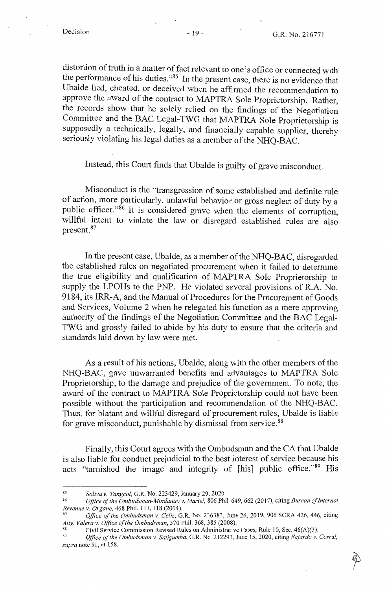distortion of truth in a matter of fact relevant to one's office or connected with the performance of his duties."85 In the present case, there is no evidence that Ubalde lied, cheated, or deceived when he affirmed the recommendation to approve the award of the contract to MAPTRA Sole Proprietorship. Rather, the records show that he solely relied on the findings of the Negotiation Committee and the BAC Legal-TWG that MAPTRA Sole Proprietorship is supposedly a technically, legally, and financially capable supplier, thereby seriously violating his legal duties as a member of the NHQ-BAC.

Instead, this Court finds that Ubalde is guilty of grave misconduct.

Misconduct is the "transgression of some established and definite rule of action, more particularly, unlawful behavior or gross neglect of duty by a public officer."86 It is considered grave when the elements of corruption, willful intent to violate the law or disregard established rules are also present. <sup>87</sup>

In the present case, Ubalde, as a member of the NHQ-BAC, disregarded the established rules on negotiated procurement when it failed to determine the true eligibility and qualification of MAPTRA Sole Proprietorship to supply the LPOHs to the PNP. He violated several provisions of R.A. No. 9184, its IRR-A, and the Manual of Procedures for the Procurement of Goods and Services, Volume 2 when he relegated his function as a mere approving authority of the findings of the Negotiation Committee and the BAC Legal-TWG and grossly failed to abide by his duty to ensure that the criteria and standards laid down by law were met.

As a result of his actions, Ubalde, along with the other members of the NHQ-BAC, gave unwarranted benefits and advantages to MAPTRA Sole Proprietorship, to the damage and prejudice of the government. To note, the award of the contract to MAPTRA Sole Proprietorship could not have been possible without the participation and recommendation of the NHQ-BAC. Thus, for blatant and willful disregard of procurement rules, Ubalde is liable for grave misconduct, punishable by dismissal from service.<sup>88</sup>

Finally, this Court agrees with the Ombudsman and the CA that Ubalde is also liable for conduct prejudicial to the best interest of service because his acts "tarnished the image and integrity of [his] public office."89 His

<sup>85</sup> *Saliva v. Tangcol,* G.R. No. 223429, January 29, 2020.

<sup>86</sup>*Office of the Ombudsman-Mindanao v. Martel,* 806 Phil. 649,662 (2017), citing *Bureau of Internal* 

*Office of the Ombudsman v. Celiz, G.R. No. 236383, June 26, 2019, 906 SCRA 426, 446, citing* Atty. Valera v. Office of the Ombudsman, 570 Phil. 368, 385 (2008).<br><sup>88</sup> Civil Service Commission Revised Rules on Administrative Cases, Rule 10, Sec. 46(A)(3).<br><sup>89</sup> Office of the Ombudsman v. Saligumba, G.R. No. 212293. J

*supra* note 51, at 158.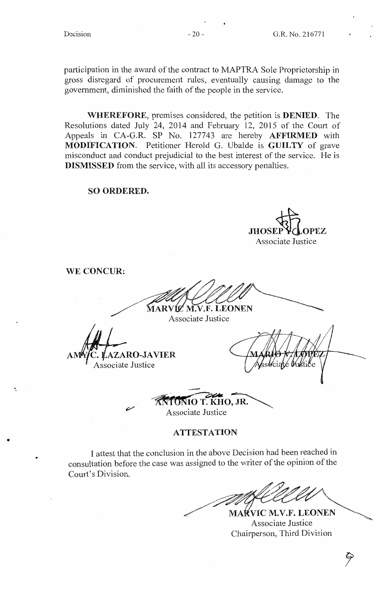participation in the award of the contract to MAPTRA Sole Proprietorship in gross disregard of procurement rules, eventually causing damage to the government, diminished the faith of the people in the service.

**WHEREFORE,** premises considered, the petition is **DENIED.** The Resolutions dated July 24, 2014 and February 12, 2015 of the Court of Appeals in CA-G.R. SP No. 127743 are hereby **AFFIRMED** with **MODIFICATION.** Petitioner Herold G. Ubalde is **GUILTY** of grave misconduct and conduct prejudicial to the best interest of the service. He is **DISMISSED** from the service, with all its accessory penalties.

### **SO ORDERED.**

JHOSEP **Y** *C* LOPEZ Associate Justice

**WE CONCUR:** 

MARVIC M.V.F. LEONEN

Associate Justice

**AZARO-JAVIER** Associate Justice

lté (Vuki

*FONIO T. KHO, JR.* Associate Justice

# **ATTESTATION**

I attest that the conclusion in the above Decision had been reached in consultation before the case was assigned to the writer of the opinion of the Court's Division.

MAŔVIC M.V.F. LEONEN Associate Justice Chairperson, Third Division